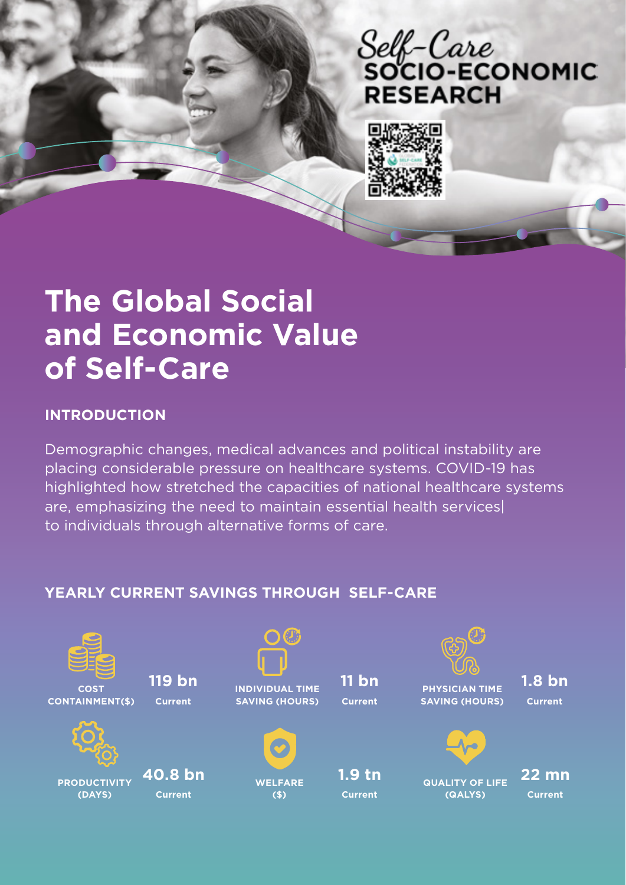# Self-Care<br>socio-Economic **RESEARCH**



# **The Global Social and Economic Value of Self-Care**

# **INTRODUCTION**

Demographic changes, medical advances and political instability are placing considerable pressure on healthcare systems. COVID-19 has highlighted how stretched the capacities of national healthcare systems are, emphasizing the need to maintain essential health services| to individuals through alternative forms of care.

# **YEARLY CURRENT SAVINGS THROUGH SELF-CARE**

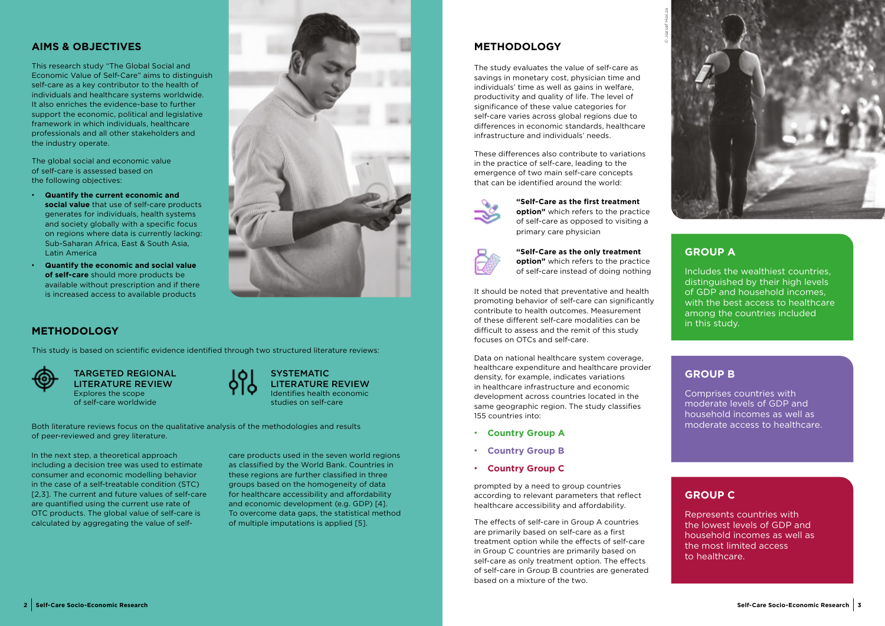# **METHODOLOGY**

The study evaluates the value of self-care as savings in monetary cost, physician time and individuals' time as well as gains in welfare, productivity and quality of life. The level of significance of these value categories for self-care varies across global regions due to differences in economic standards, healthcare infrastructure and individuals' needs.

These differences also contribute to variations in the practice of self-care, leading to the emergence of two main self-care concepts that can be identified around the world:



#### **GROUP A**

Includes the wealthiest countries, distinguished by their high levels of GDP and household incomes, with the best access to healthcare among the countries included in this study.

#### **GROUP B**

Comprises countries with moderate levels of GDP and household incomes as well as moderate access to healthcare.

### **AIMS & OBJECTIVES**

#### **SYSTEMATIC** LITERATURE REVIEW Identifies health economic studies on self-care

This research study "The Global Social and Economic Value of Self-Care" aims to distinguish self-care as a key contributor to the health of individuals and healthcare systems worldwide. It also enriches the evidence-base to further support the economic, political and legislative framework in which individuals, healthcare professionals and all other stakeholders and the industry operate.

The global social and economic value of self-care is assessed based on the following objectives:

- **• Quantify the current economic and social value** that use of self-care products generates for individuals, health systems and society globally with a specific focus on regions where data is currently lacking: Sub-Saharan Africa, East & South Asia, Latin America
- **• Quantify the economic and social value of self-care** should more products be available without prescription and if there is increased access to available products



# **METHODOLOGY**

This study is based on scientific evidence identified through two structured literature reviews:



TARGETED REGIONAL LITERATURE REVIEW Explores the scope of self-care worldwide



In the next step, a theoretical approach including a decision tree was used to estimate consumer and economic modelling behavior in the case of a self-treatable condition (STC) [2,3]. The current and future values of self-care are quantified using the current use rate of OTC products. The global value of self-care is calculated by aggregating the value of self-

Both literature reviews focus on the qualitative analysis of the methodologies and results of peer-reviewed and grey literature.

> care products used in the seven world regions as classified by the World Bank. Countries in these regions are further classified in three groups based on the homogeneity of data for healthcare accessibility and affordability and economic development (e.g. GDP) [4]. To overcome data gaps, the statistical method of multiple imputations is applied [5].

# **GROUP C**

Represents countries with the lowest levels of GDP and household incomes as well as the most limited access to healthcare.

**"Self-Care as the first treatment** 

**option"** which refers to the practice of self-care as opposed to visiting a primary care physician



**"Self-Care as the only treatment option"** which refers to the practice of self-care instead of doing nothing

It should be noted that preventative and health promoting behavior of self-care can significantly contribute to health outcomes. Measurement of these different self-care modalities can be difficult to assess and the remit of this study focuses on OTCs and self-care.

Data on national healthcare system coverage, healthcare expenditure and healthcare provider density, for example, indicates variations in healthcare infrastructure and economic development across countries located in the same geographic region. The study classifies 155 countries into:

- **• Country Group A**
- **• Country Group B**
- **• Country Group C**

prompted by a need to group countries according to relevant parameters that reflect healthcare accessibility and affordability.

The effects of self-care in Group A countries are primarily based on self-care as a first treatment option while the effects of self-care in Group C countries are primarily based on self-care as only treatment option. The effects of self-care in Group B countries are generated based on a mixture of the two.

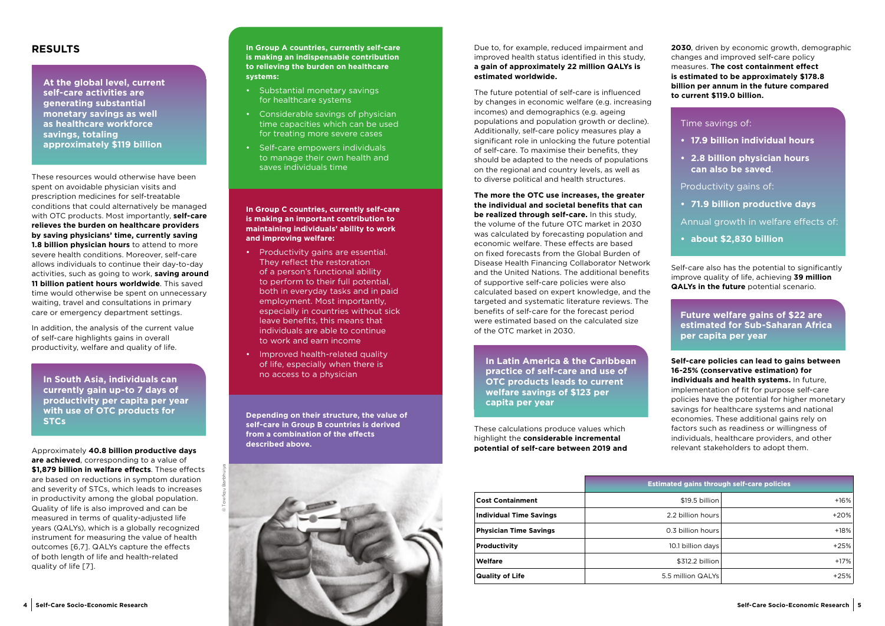#### **RESULTS**

These resources would otherwise have been spent on avoidable physician visits and prescription medicines for self-treatable conditions that could alternatively be managed with OTC products. Most importantly, **self-care relieves the burden on healthcare providers by saving physicians' time, currently saving 1.8 billion physician hours** to attend to more severe health conditions. Moreover, self-care allows individuals to continue their day-to-day activities, such as going to work, **saving around 11 billion patient hours worldwide**. This saved time would otherwise be spent on unnecessary waiting, travel and consultations in primary care or emergency department settings.

In addition, the analysis of the current value of self-care highlights gains in overall productivity, welfare and quality of life.

Approximately **40.8 billion productive days are achieved**, corresponding to a value of **\$1,879 billion in welfare effects**. These effects are based on reductions in symptom duration and severity of STCs, which leads to increases in productivity among the global population. Quality of life is also improved and can be measured in terms of quality-adjusted life years (QALYs), which is a globally recognized instrument for measuring the value of health outcomes [6,7]. QALYs capture the effects of both length of life and health-related quality of life [7].

- Substantial monetary savings for healthcare systems
- Considerable savings of physician time capacities which can be used for treating more severe cases
- Self-care empowers individuals to manage their own health and saves individuals time

Due to, for example, reduced impairment and improved health status identified in this study, **a gain of approximately 22 million QALYs is estimated worldwide.** 

The future potential of self-care is influenced by changes in economic welfare (e.g. increasing incomes) and demographics (e.g. ageing populations and population growth or decline). Additionally, self-care policy measures play a significant role in unlocking the future potential of self-care. To maximise their benefits, they should be adapted to the needs of populations on the regional and country levels, as well as to diverse political and health structures.



**The more the OTC use increases, the greater the individual and societal benefits that can be realized through self-care.** In this study, the volume of the future OTC market in 2030 was calculated by forecasting population and economic welfare. These effects are based on fixed forecasts from the Global Burden of Disease Health Financing Collaborator Network and the United Nations. The additional benefits of supportive self-care policies were also calculated based on expert knowledge, and the targeted and systematic literature reviews. The benefits of self-care for the forecast period were estimated based on the calculated size of the OTC market in 2030.

These calculations produce values which highlight the **considerable incremental potential of self-care between 2019 and**  **2030**, driven by economic growth, demographic changes and improved self-care policy measures. **The cost containment effect is estimated to be approximately \$178.8 billion per annum in the future compared to current \$119.0 billion.**

Self-care also has the potential to significantly improve quality of life, achieving **39 million QALYs in the future** potential scenario.

**Self-care policies can lead to gains between 16-25% (conservative estimation) for individuals and health systems.** In future, implementation of fit for purpose self-care policies have the potential for higher monetary savings for healthcare systems and national economies. These additional gains rely on factors such as readiness or willingness of individuals, healthcare providers, and other relevant stakeholders to adopt them.

**In Group C countries, currently self-care is making an important contribution to maintaining individuals' ability to work and improving welfare:**

- Productivity gains are essential. They reflect the restoration of a person's functional ability to perform to their full potential, both in everyday tasks and in paid employment. Most importantly, especially in countries without sick leave benefits, this means that individuals are able to continue to work and earn income
- Improved health-related quality of life, especially when there is no access to a physician

**Depending on their structure, the value of self-care in Group B countries is derived from a combination of the effects described above.**

**In South Asia, individuals can currently gain up-to 7 days of productivity per capita per year with use of OTC products for STCs** 

**At the global level, current self-care activities are generating substantial monetary savings as well as healthcare workforce savings, totaling approximately \$119 billion**

> **In Latin America & the Caribbean practice of self-care and use of OTC products leads to current welfare savings of \$123 per capita per year**

**Future welfare gains of \$22 are estimated for Sub-Saharan Africa per capita per year**

Time savings of:

- **• 17.9 billion individual hours**
- **• 2.8 billion physician hours can also be saved**.

Productivity gains of:

**• 71.9 billion productive days** 

Annual growth in welfare effects of:

**• about \$2,830 billion**

|                                | <b>Estimated gains through self-care policies</b> |        |
|--------------------------------|---------------------------------------------------|--------|
| <b>Cost Containment</b>        | \$19.5 billion                                    | $+16%$ |
| <b>Individual Time Savings</b> | 2.2 billion hours                                 | $+20%$ |
| <b>Physician Time Savings</b>  | 0.3 billion hours                                 | $+18%$ |
| <b>Productivity</b>            | 10.1 billion days                                 | $+25%$ |
| Welfare                        | \$312.2 billion                                   | $+17%$ |
| <b>Quality of Life</b>         | 5.5 million QALYs                                 | $+25%$ |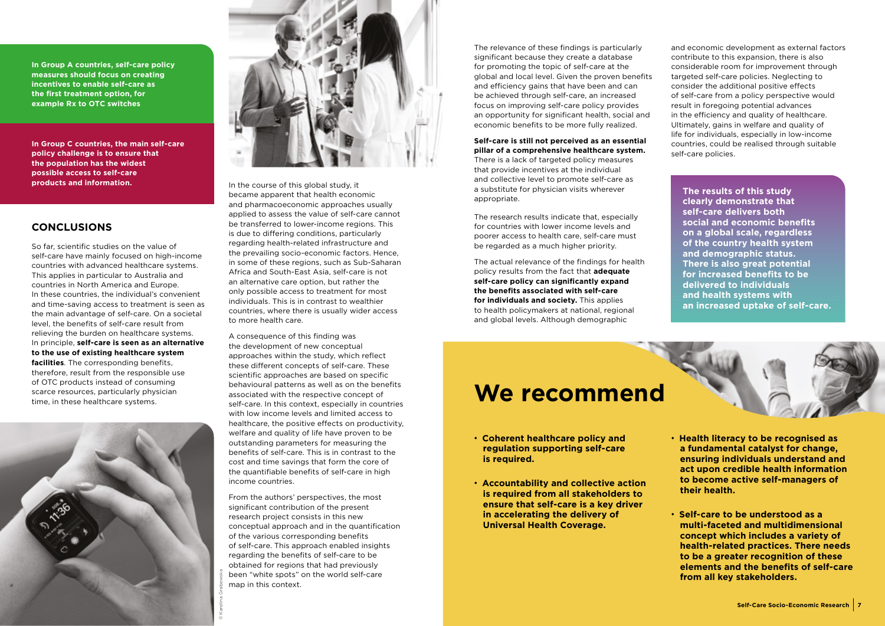In the course of this global study, it became apparent that health economic and pharmacoeconomic approaches usually applied to assess the value of self-care cannot be transferred to lower-income regions. This is due to differing conditions, particularly regarding health-related infrastructure and the prevailing socio-economic factors. Hence, in some of these regions, such as Sub-Saharan Africa and South-East Asia, self-care is not an alternative care option, but rather the only possible access to treatment for most individuals. This is in contrast to wealthier countries, where there is usually wider access to more health care.

A consequence of this finding was the development of new conceptual approaches within the study, which reflect these different concepts of self-care. These scientific approaches are based on specific behavioural patterns as well as on the benefits associated with the respective concept of self-care. In this context, especially in countries with low income levels and limited access to healthcare, the positive effects on productivity, welfare and quality of life have proven to be outstanding parameters for measuring the benefits of self-care. This is in contrast to the cost and time savings that form the core of the quantifiable benefits of self-care in high income countries.

From the authors' perspectives, the most significant contribution of the present research project consists in this new conceptual approach and in the quantification of the various corresponding benefits of self-care. This approach enabled insights regarding the benefits of self-care to be obtained for regions that had previously been "white spots" on the world self-care map in this context.

The relevance of these findings is particularly significant because they create a database for promoting the topic of self-care at the global and local level. Given the proven benefits and efficiency gains that have been and can be achieved through self-care, an increased focus on improving self-care policy provides an opportunity for significant health, social and economic benefits to be more fully realized.

#### **Self-care is still not perceived as an essential pillar of a comprehensive healthcare system.**

There is a lack of targeted policy measures that provide incentives at the individual and collective level to promote self-care as a substitute for physician visits wherever appropriate.





The research results indicate that, especially for countries with lower income levels and poorer access to health care, self-care must be regarded as a much higher priority.

The actual relevance of the findings for health policy results from the fact that **adequate self-care policy can significantly expand the benefits associated with self-care for individuals and society.** This applies to health policymakers at national, regional and global levels. Although demographic

and economic development as external factors contribute to this expansion, there is also considerable room for improvement through targeted self-care policies. Neglecting to consider the additional positive effects of self-care from a policy perspective would result in foregoing potential advances in the efficiency and quality of healthcare. Ultimately, gains in welfare and quality of life for individuals, especially in low-income countries, could be realised through suitable self-care policies.

**In Group A countries, self-care policy measures should focus on creating incentives to enable self-care as the first treatment option, for example Rx to OTC switches**

**In Group C countries, the main self-care policy challenge is to ensure that the population has the widest possible access to self-care products and information.**

- **• Coherent healthcare policy and regulation supporting self-care is required.**
- **• Accountability and collective action is required from all stakeholders to ensure that self-care is a key driver in accelerating the delivery of Universal Health Coverage.**

# **We recommend**

- **• Health literacy to be recognised as a fundamental catalyst for change, ensuring individuals understand and act upon credible health information to become active self-managers of their health.**
- **• Self-care to be understood as a multi-faceted and multidimensional concept which includes a variety of health-related practices. There needs to be a greater recognition of these elements and the benefits of self-care from all key stakeholders.**

**The results of this study clearly demonstrate that self-care delivers both social and economic benefits on a global scale, regardless of the country health system and demographic status. There is also great potential for increased benefits to be delivered to individuals and health systems with an increased uptake of self-care.**



#### **CONCLUSIONS**

So far, scientific studies on the value of self-care have mainly focused on high-income countries with advanced healthcare systems. This applies in particular to Australia and countries in North America and Europe. In these countries, the individual's convenient and time-saving access to treatment is seen as the main advantage of self-care. On a societal level, the benefits of self-care result from relieving the burden on healthcare systems. In principle, **self-care is seen as an alternative to the use of existing healthcare system facilities**. The corresponding benefits, therefore, result from the responsible use of OTC products instead of consuming scarce resources, particularly physician time, in these healthcare systems.